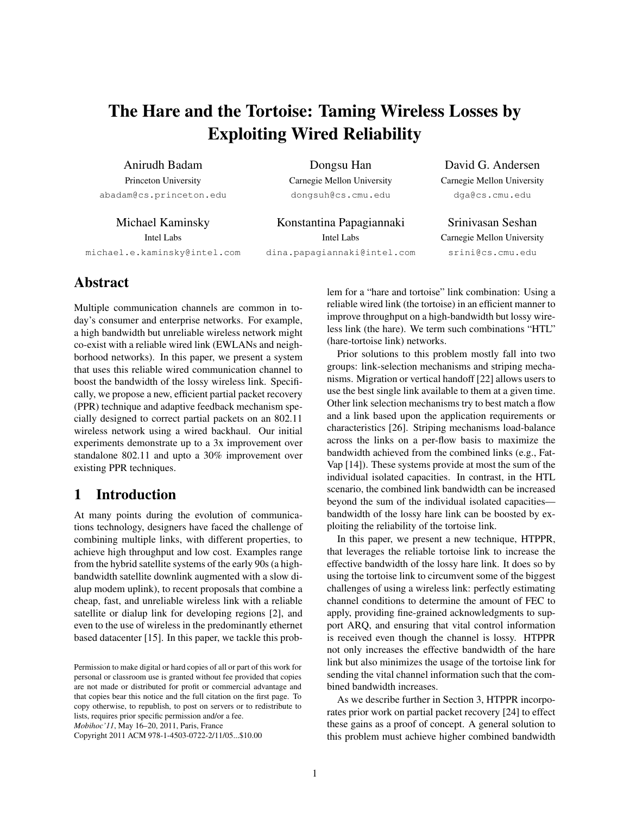# The Hare and the Tortoise: Taming Wireless Losses by Exploiting Wired Reliability

Anirudh Badam Princeton University abadam@cs.princeton.edu

Michael Kaminsky Intel Labs michael.e.kaminsky@intel.com

Dongsu Han Carnegie Mellon University dongsuh@cs.cmu.edu

Konstantina Papagiannaki Intel Labs dina.papagiannaki@intel.com

David G. Andersen Carnegie Mellon University dga@cs.cmu.edu

Srinivasan Seshan Carnegie Mellon University srini@cs.cmu.edu

# Abstract

Multiple communication channels are common in today's consumer and enterprise networks. For example, a high bandwidth but unreliable wireless network might co-exist with a reliable wired link (EWLANs and neighborhood networks). In this paper, we present a system that uses this reliable wired communication channel to boost the bandwidth of the lossy wireless link. Specifically, we propose a new, efficient partial packet recovery (PPR) technique and adaptive feedback mechanism specially designed to correct partial packets on an 802.11 wireless network using a wired backhaul. Our initial experiments demonstrate up to a 3x improvement over standalone 802.11 and upto a 30% improvement over existing PPR techniques.

## 1 Introduction

At many points during the evolution of communications technology, designers have faced the challenge of combining multiple links, with different properties, to achieve high throughput and low cost. Examples range from the hybrid satellite systems of the early 90s (a highbandwidth satellite downlink augmented with a slow dialup modem uplink), to recent proposals that combine a cheap, fast, and unreliable wireless link with a reliable satellite or dialup link for developing regions [\[2\]](#page-10-0), and even to the use of wireless in the predominantly ethernet based datacenter [\[15\]](#page-10-1). In this paper, we tackle this prob-

Copyright 2011 ACM 978-1-4503-0722-2/11/05...\$10.00

lem for a "hare and tortoise" link combination: Using a reliable wired link (the tortoise) in an efficient manner to improve throughput on a high-bandwidth but lossy wireless link (the hare). We term such combinations "HTL" (hare-tortoise link) networks.

Prior solutions to this problem mostly fall into two groups: link-selection mechanisms and striping mechanisms. Migration or vertical handoff [\[22\]](#page-10-2) allows users to use the best single link available to them at a given time. Other link selection mechanisms try to best match a flow and a link based upon the application requirements or characteristics [\[26\]](#page-10-3). Striping mechanisms load-balance across the links on a per-flow basis to maximize the bandwidth achieved from the combined links (e.g., Fat-Vap [\[14\]](#page-10-4)). These systems provide at most the sum of the individual isolated capacities. In contrast, in the HTL scenario, the combined link bandwidth can be increased beyond the sum of the individual isolated capacities bandwidth of the lossy hare link can be boosted by exploiting the reliability of the tortoise link.

In this paper, we present a new technique, HTPPR, that leverages the reliable tortoise link to increase the effective bandwidth of the lossy hare link. It does so by using the tortoise link to circumvent some of the biggest challenges of using a wireless link: perfectly estimating channel conditions to determine the amount of FEC to apply, providing fine-grained acknowledgments to support ARQ, and ensuring that vital control information is received even though the channel is lossy. HTPPR not only increases the effective bandwidth of the hare link but also minimizes the usage of the tortoise link for sending the vital channel information such that the combined bandwidth increases.

As we describe further in Section [3,](#page-2-0) HTPPR incorporates prior work on partial packet recovery [\[24\]](#page-10-5) to effect these gains as a proof of concept. A general solution to this problem must achieve higher combined bandwidth

Permission to make digital or hard copies of all or part of this work for personal or classroom use is granted without fee provided that copies are not made or distributed for profit or commercial advantage and that copies bear this notice and the full citation on the first page. To copy otherwise, to republish, to post on servers or to redistribute to lists, requires prior specific permission and/or a fee. *Mobihoc'11*, May 16–20, 2011, Paris, France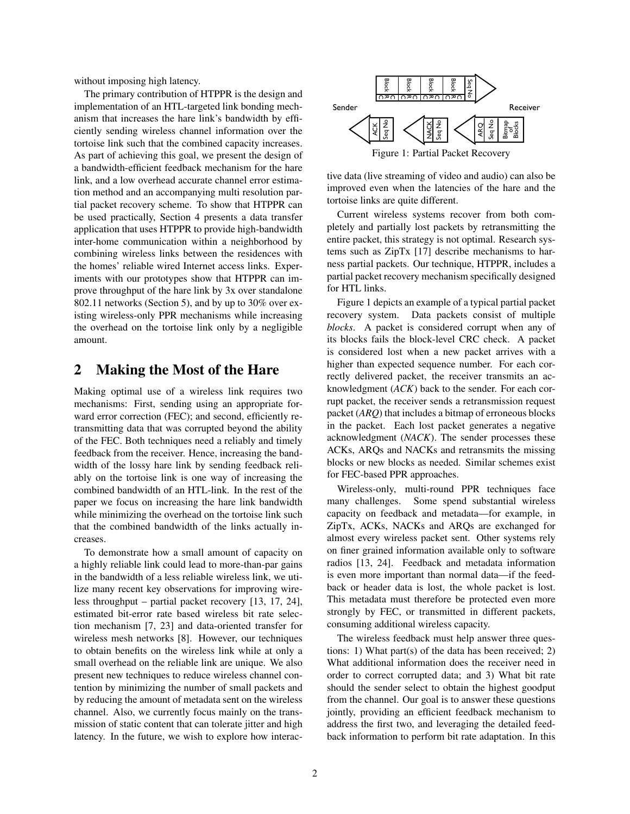without imposing high latency.

The primary contribution of HTPPR is the design and implementation of an HTL-targeted link bonding mechanism that increases the hare link's bandwidth by efficiently sending wireless channel information over the tortoise link such that the combined capacity increases. As part of achieving this goal, we present the design of a bandwidth-efficient feedback mechanism for the hare link, and a low overhead accurate channel error estimation method and an accompanying multi resolution partial packet recovery scheme. To show that HTPPR can be used practically, Section [4](#page-4-0) presents a data transfer application that uses HTPPR to provide high-bandwidth inter-home communication within a neighborhood by combining wireless links between the residences with the homes' reliable wired Internet access links. Experiments with our prototypes show that HTPPR can improve throughput of the hare link by 3x over standalone 802.11 networks (Section [5\)](#page-5-0), and by up to 30% over existing wireless-only PPR mechanisms while increasing the overhead on the tortoise link only by a negligible amount.

### <span id="page-1-1"></span>2 Making the Most of the Hare

Making optimal use of a wireless link requires two mechanisms: First, sending using an appropriate forward error correction (FEC); and second, efficiently retransmitting data that was corrupted beyond the ability of the FEC. Both techniques need a reliably and timely feedback from the receiver. Hence, increasing the bandwidth of the lossy hare link by sending feedback reliably on the tortoise link is one way of increasing the combined bandwidth of an HTL-link. In the rest of the paper we focus on increasing the hare link bandwidth while minimizing the overhead on the tortoise link such that the combined bandwidth of the links actually increases.

To demonstrate how a small amount of capacity on a highly reliable link could lead to more-than-par gains in the bandwidth of a less reliable wireless link, we utilize many recent key observations for improving wireless throughput – partial packet recovery [\[13,](#page-10-6) [17,](#page-10-7) [24\]](#page-10-5), estimated bit-error rate based wireless bit rate selection mechanism [\[7,](#page-10-8) [23\]](#page-10-9) and data-oriented transfer for wireless mesh networks [\[8\]](#page-10-10). However, our techniques to obtain benefits on the wireless link while at only a small overhead on the reliable link are unique. We also present new techniques to reduce wireless channel contention by minimizing the number of small packets and by reducing the amount of metadata sent on the wireless channel. Also, we currently focus mainly on the transmission of static content that can tolerate jitter and high latency. In the future, we wish to explore how interac-

<span id="page-1-0"></span>

tive data (live streaming of video and audio) can also be improved even when the latencies of the hare and the tortoise links are quite different.

Current wireless systems recover from both completely and partially lost packets by retransmitting the entire packet, this strategy is not optimal. Research systems such as ZipTx [\[17\]](#page-10-7) describe mechanisms to harness partial packets. Our technique, HTPPR, includes a partial packet recovery mechanism specifically designed for HTL links.

Figure [1](#page-1-0) depicts an example of a typical partial packet recovery system. Data packets consist of multiple *blocks*. A packet is considered corrupt when any of its blocks fails the block-level CRC check. A packet is considered lost when a new packet arrives with a higher than expected sequence number. For each correctly delivered packet, the receiver transmits an acknowledgment (*ACK*) back to the sender. For each corrupt packet, the receiver sends a retransmission request packet (*ARQ*) that includes a bitmap of erroneous blocks in the packet. Each lost packet generates a negative acknowledgment (*NACK*). The sender processes these ACKs, ARQs and NACKs and retransmits the missing blocks or new blocks as needed. Similar schemes exist for FEC-based PPR approaches.

Wireless-only, multi-round PPR techniques face many challenges. Some spend substantial wireless capacity on feedback and metadata—for example, in ZipTx, ACKs, NACKs and ARQs are exchanged for almost every wireless packet sent. Other systems rely on finer grained information available only to software radios [\[13,](#page-10-6) [24\]](#page-10-5). Feedback and metadata information is even more important than normal data—if the feedback or header data is lost, the whole packet is lost. This metadata must therefore be protected even more strongly by FEC, or transmitted in different packets, consuming additional wireless capacity.

The wireless feedback must help answer three questions: 1) What part(s) of the data has been received; 2) What additional information does the receiver need in order to correct corrupted data; and 3) What bit rate should the sender select to obtain the highest goodput from the channel. Our goal is to answer these questions jointly, providing an efficient feedback mechanism to address the first two, and leveraging the detailed feedback information to perform bit rate adaptation. In this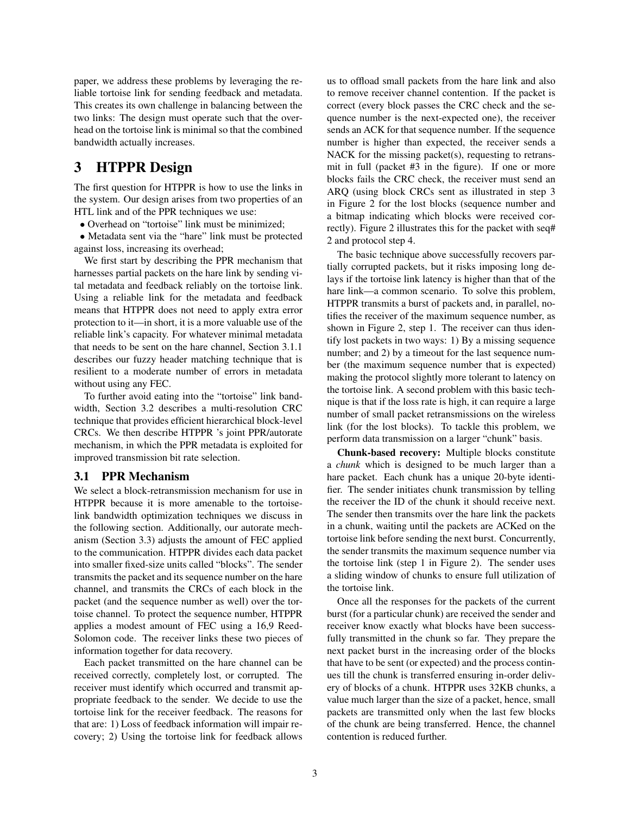paper, we address these problems by leveraging the reliable tortoise link for sending feedback and metadata. This creates its own challenge in balancing between the two links: The design must operate such that the overhead on the tortoise link is minimal so that the combined bandwidth actually increases.

### <span id="page-2-0"></span>3 HTPPR Design

The first question for HTPPR is how to use the links in the system. Our design arises from two properties of an HTL link and of the PPR techniques we use:

• Overhead on "tortoise" link must be minimized;

• Metadata sent via the "hare" link must be protected against loss, increasing its overhead;

We first start by describing the PPR mechanism that harnesses partial packets on the hare link by sending vital metadata and feedback reliably on the tortoise link. Using a reliable link for the metadata and feedback means that HTPPR does not need to apply extra error protection to it—in short, it is a more valuable use of the reliable link's capacity. For whatever minimal metadata that needs to be sent on the hare channel, Section [3.1.1](#page-3-0) describes our fuzzy header matching technique that is resilient to a moderate number of errors in metadata without using any FEC.

To further avoid eating into the "tortoise" link bandwidth, Section [3.2](#page-3-1) describes a multi-resolution CRC technique that provides efficient hierarchical block-level CRCs. We then describe HTPPR 's joint PPR/autorate mechanism, in which the PPR metadata is exploited for improved transmission bit rate selection.

#### 3.1 PPR Mechanism

We select a block-retransmission mechanism for use in HTPPR because it is more amenable to the tortoiselink bandwidth optimization techniques we discuss in the following section. Additionally, our autorate mechanism (Section [3.3\)](#page-3-2) adjusts the amount of FEC applied to the communication. HTPPR divides each data packet into smaller fixed-size units called "blocks". The sender transmits the packet and its sequence number on the hare channel, and transmits the CRCs of each block in the packet (and the sequence number as well) over the tortoise channel. To protect the sequence number, HTPPR applies a modest amount of FEC using a 16,9 Reed-Solomon code. The receiver links these two pieces of information together for data recovery.

Each packet transmitted on the hare channel can be received correctly, completely lost, or corrupted. The receiver must identify which occurred and transmit appropriate feedback to the sender. We decide to use the tortoise link for the receiver feedback. The reasons for that are: 1) Loss of feedback information will impair recovery; 2) Using the tortoise link for feedback allows us to offload small packets from the hare link and also to remove receiver channel contention. If the packet is correct (every block passes the CRC check and the sequence number is the next-expected one), the receiver sends an ACK for that sequence number. If the sequence number is higher than expected, the receiver sends a NACK for the missing packet(s), requesting to retransmit in full (packet #3 in the figure). If one or more blocks fails the CRC check, the receiver must send an ARQ (using block CRCs sent as illustrated in step 3 in Figure [2](#page-3-3) for the lost blocks (sequence number and a bitmap indicating which blocks were received correctly). Figure [2](#page-3-3) illustrates this for the packet with seq# 2 and protocol step 4.

The basic technique above successfully recovers partially corrupted packets, but it risks imposing long delays if the tortoise link latency is higher than that of the hare link—a common scenario. To solve this problem, HTPPR transmits a burst of packets and, in parallel, notifies the receiver of the maximum sequence number, as shown in Figure [2,](#page-3-3) step 1. The receiver can thus identify lost packets in two ways: 1) By a missing sequence number; and 2) by a timeout for the last sequence number (the maximum sequence number that is expected) making the protocol slightly more tolerant to latency on the tortoise link. A second problem with this basic technique is that if the loss rate is high, it can require a large number of small packet retransmissions on the wireless link (for the lost blocks). To tackle this problem, we perform data transmission on a larger "chunk" basis.

Chunk-based recovery: Multiple blocks constitute a *chunk* which is designed to be much larger than a hare packet. Each chunk has a unique 20-byte identifier. The sender initiates chunk transmission by telling the receiver the ID of the chunk it should receive next. The sender then transmits over the hare link the packets in a chunk, waiting until the packets are ACKed on the tortoise link before sending the next burst. Concurrently, the sender transmits the maximum sequence number via the tortoise link (step 1 in Figure [2\)](#page-3-3). The sender uses a sliding window of chunks to ensure full utilization of the tortoise link.

Once all the responses for the packets of the current burst (for a particular chunk) are received the sender and receiver know exactly what blocks have been successfully transmitted in the chunk so far. They prepare the next packet burst in the increasing order of the blocks that have to be sent (or expected) and the process continues till the chunk is transferred ensuring in-order delivery of blocks of a chunk. HTPPR uses 32KB chunks, a value much larger than the size of a packet, hence, small packets are transmitted only when the last few blocks of the chunk are being transferred. Hence, the channel contention is reduced further.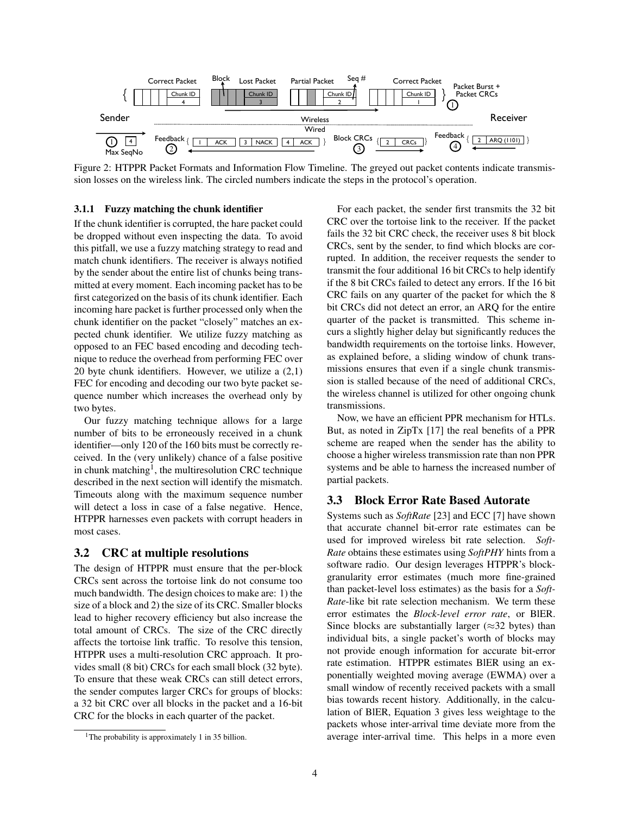<span id="page-3-3"></span>

Figure 2: HTPPR Packet Formats and Information Flow Timeline. The greyed out packet contents indicate transmission losses on the wireless link. The circled numbers indicate the steps in the protocol's operation.

#### <span id="page-3-0"></span>3.1.1 Fuzzy matching the chunk identifier

If the chunk identifier is corrupted, the hare packet could be dropped without even inspecting the data. To avoid this pitfall, we use a fuzzy matching strategy to read and match chunk identifiers. The receiver is always notified by the sender about the entire list of chunks being transmitted at every moment. Each incoming packet has to be first categorized on the basis of its chunk identifier. Each incoming hare packet is further processed only when the chunk identifier on the packet "closely" matches an expected chunk identifier. We utilize fuzzy matching as opposed to an FEC based encoding and decoding technique to reduce the overhead from performing FEC over 20 byte chunk identifiers. However, we utilize a (2,1) FEC for encoding and decoding our two byte packet sequence number which increases the overhead only by two bytes.

Our fuzzy matching technique allows for a large number of bits to be erroneously received in a chunk identifier—only 120 of the 160 bits must be correctly received. In the (very unlikely) chance of a false positive in chunk matching<sup>[1](#page-3-4)</sup>, the multiresolution CRC technique described in the next section will identify the mismatch. Timeouts along with the maximum sequence number will detect a loss in case of a false negative. Hence, HTPPR harnesses even packets with corrupt headers in most cases.

#### <span id="page-3-1"></span>3.2 CRC at multiple resolutions

The design of HTPPR must ensure that the per-block CRCs sent across the tortoise link do not consume too much bandwidth. The design choices to make are: 1) the size of a block and 2) the size of its CRC. Smaller blocks lead to higher recovery efficiency but also increase the total amount of CRCs. The size of the CRC directly affects the tortoise link traffic. To resolve this tension, HTPPR uses a multi-resolution CRC approach. It provides small (8 bit) CRCs for each small block (32 byte). To ensure that these weak CRCs can still detect errors, the sender computes larger CRCs for groups of blocks: a 32 bit CRC over all blocks in the packet and a 16-bit CRC for the blocks in each quarter of the packet.

For each packet, the sender first transmits the 32 bit CRC over the tortoise link to the receiver. If the packet fails the 32 bit CRC check, the receiver uses 8 bit block CRCs, sent by the sender, to find which blocks are corrupted. In addition, the receiver requests the sender to transmit the four additional 16 bit CRCs to help identify if the 8 bit CRCs failed to detect any errors. If the 16 bit CRC fails on any quarter of the packet for which the 8 bit CRCs did not detect an error, an ARQ for the entire quarter of the packet is transmitted. This scheme incurs a slightly higher delay but significantly reduces the bandwidth requirements on the tortoise links. However, as explained before, a sliding window of chunk transmissions ensures that even if a single chunk transmission is stalled because of the need of additional CRCs, the wireless channel is utilized for other ongoing chunk transmissions.

Now, we have an efficient PPR mechanism for HTLs. But, as noted in ZipTx [\[17\]](#page-10-7) the real benefits of a PPR scheme are reaped when the sender has the ability to choose a higher wireless transmission rate than non PPR systems and be able to harness the increased number of partial packets.

#### <span id="page-3-2"></span>3.3 Block Error Rate Based Autorate

Systems such as *SoftRate* [\[23\]](#page-10-9) and ECC [\[7\]](#page-10-8) have shown that accurate channel bit-error rate estimates can be used for improved wireless bit rate selection. *Soft-Rate* obtains these estimates using *SoftPHY* hints from a software radio. Our design leverages HTPPR's blockgranularity error estimates (much more fine-grained than packet-level loss estimates) as the basis for a *Soft-Rate*-like bit rate selection mechanism. We term these error estimates the *Block-level error rate*, or BlER. Since blocks are substantially larger ( $\approx$ 32 bytes) than individual bits, a single packet's worth of blocks may not provide enough information for accurate bit-error rate estimation. HTPPR estimates BlER using an exponentially weighted moving average (EWMA) over a small window of recently received packets with a small bias towards recent history. Additionally, in the calculation of BlER, Equation 3 gives less weightage to the packets whose inter-arrival time deviate more from the average inter-arrival time. This helps in a more even

<span id="page-3-4"></span><sup>&</sup>lt;sup>1</sup>The probability is approximately 1 in 35 billion.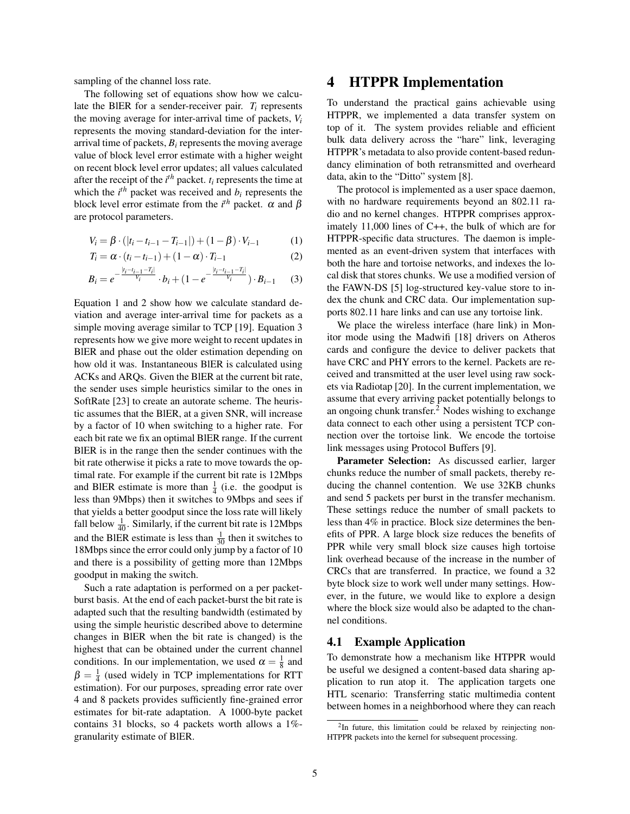sampling of the channel loss rate.

The following set of equations show how we calculate the BlER for a sender-receiver pair. *T<sup>i</sup>* represents the moving average for inter-arrival time of packets, *V<sup>i</sup>* represents the moving standard-deviation for the interarrival time of packets, *B<sup>i</sup>* represents the moving average value of block level error estimate with a higher weight on recent block level error updates; all values calculated after the receipt of the  $i<sup>th</sup>$  packet.  $t<sub>i</sub>$  represents the time at which the  $i^{th}$  packet was received and  $b_i$  represents the block level error estimate from the  $i^{th}$  packet.  $\alpha$  and  $\beta$ are protocol parameters.

$$
V_i = \beta \cdot (|t_i - t_{i-1} - T_{i-1}|) + (1 - \beta) \cdot V_{i-1}
$$
 (1)

$$
T_i = \alpha \cdot (t_i - t_{i-1}) + (1 - \alpha) \cdot T_{i-1}
$$
\n<sup>(2)</sup>

$$
B_i = e^{-\frac{|t_i - t_{i-1} - T_i|}{V_i}} \cdot b_i + (1 - e^{-\frac{|t_i - t_{i-1} - T_i|}{V_i}}) \cdot B_{i-1} \tag{3}
$$

Equation 1 and 2 show how we calculate standard deviation and average inter-arrival time for packets as a simple moving average similar to TCP [\[19\]](#page-10-11). Equation 3 represents how we give more weight to recent updates in BlER and phase out the older estimation depending on how old it was. Instantaneous BlER is calculated using ACKs and ARQs. Given the BlER at the current bit rate, the sender uses simple heuristics similar to the ones in SoftRate [\[23\]](#page-10-9) to create an autorate scheme. The heuristic assumes that the BlER, at a given SNR, will increase by a factor of 10 when switching to a higher rate. For each bit rate we fix an optimal BlER range. If the current BlER is in the range then the sender continues with the bit rate otherwise it picks a rate to move towards the optimal rate. For example if the current bit rate is 12Mbps and BIER estimate is more than  $\frac{1}{4}$  (i.e. the goodput is less than 9Mbps) then it switches to 9Mbps and sees if that yields a better goodput since the loss rate will likely fall below  $\frac{1}{40}$ . Similarly, if the current bit rate is 12Mbps and the BIER estimate is less than  $\frac{1}{30}$  then it switches to 18Mbps since the error could only jump by a factor of 10 and there is a possibility of getting more than 12Mbps goodput in making the switch.

Such a rate adaptation is performed on a per packetburst basis. At the end of each packet-burst the bit rate is adapted such that the resulting bandwidth (estimated by using the simple heuristic described above to determine changes in BlER when the bit rate is changed) is the highest that can be obtained under the current channel conditions. In our implementation, we used  $\alpha = \frac{1}{8}$  and  $\beta = \frac{1}{4}$  (used widely in TCP implementations for RTT estimation). For our purposes, spreading error rate over 4 and 8 packets provides sufficiently fine-grained error estimates for bit-rate adaptation. A 1000-byte packet contains 31 blocks, so 4 packets worth allows a 1% granularity estimate of BlER.

### <span id="page-4-0"></span>4 HTPPR Implementation

To understand the practical gains achievable using HTPPR, we implemented a data transfer system on top of it. The system provides reliable and efficient bulk data delivery across the "hare" link, leveraging HTPPR's metadata to also provide content-based redundancy elimination of both retransmitted and overheard data, akin to the "Ditto" system [\[8\]](#page-10-10).

The protocol is implemented as a user space daemon, with no hardware requirements beyond an 802.11 radio and no kernel changes. HTPPR comprises approximately 11,000 lines of C++, the bulk of which are for HTPPR-specific data structures. The daemon is implemented as an event-driven system that interfaces with both the hare and tortoise networks, and indexes the local disk that stores chunks. We use a modified version of the FAWN-DS [\[5\]](#page-10-12) log-structured key-value store to index the chunk and CRC data. Our implementation supports 802.11 hare links and can use any tortoise link.

We place the wireless interface (hare link) in Monitor mode using the Madwifi [\[18\]](#page-10-13) drivers on Atheros cards and configure the device to deliver packets that have CRC and PHY errors to the kernel. Packets are received and transmitted at the user level using raw sockets via Radiotap [\[20\]](#page-10-14). In the current implementation, we assume that every arriving packet potentially belongs to an ongoing chunk transfer.[2](#page-4-1) Nodes wishing to exchange data connect to each other using a persistent TCP connection over the tortoise link. We encode the tortoise link messages using Protocol Buffers [\[9\]](#page-10-15).

Parameter Selection: As discussed earlier, larger chunks reduce the number of small packets, thereby reducing the channel contention. We use 32KB chunks and send 5 packets per burst in the transfer mechanism. These settings reduce the number of small packets to less than 4% in practice. Block size determines the benefits of PPR. A large block size reduces the benefits of PPR while very small block size causes high tortoise link overhead because of the increase in the number of CRCs that are transferred. In practice, we found a 32 byte block size to work well under many settings. However, in the future, we would like to explore a design where the block size would also be adapted to the channel conditions.

#### 4.1 Example Application

To demonstrate how a mechanism like HTPPR would be useful we designed a content-based data sharing application to run atop it. The application targets one HTL scenario: Transferring static multimedia content between homes in a neighborhood where they can reach

<span id="page-4-1"></span><sup>&</sup>lt;sup>2</sup>In future, this limitation could be relaxed by reinjecting non-HTPPR packets into the kernel for subsequent processing.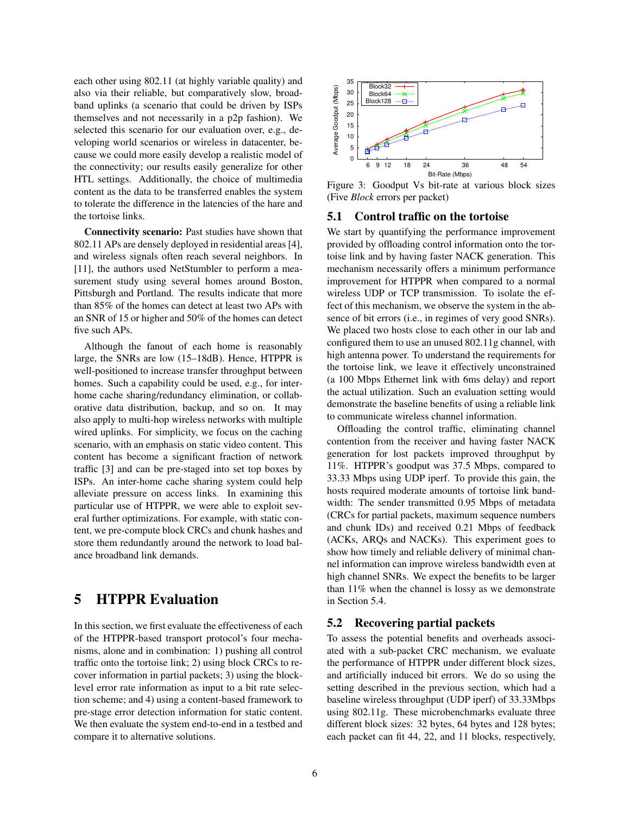each other using 802.11 (at highly variable quality) and also via their reliable, but comparatively slow, broadband uplinks (a scenario that could be driven by ISPs themselves and not necessarily in a p2p fashion). We selected this scenario for our evaluation over, e.g., developing world scenarios or wireless in datacenter, because we could more easily develop a realistic model of the connectivity; our results easily generalize for other HTL settings. Additionally, the choice of multimedia content as the data to be transferred enables the system to tolerate the difference in the latencies of the hare and the tortoise links.

Connectivity scenario: Past studies have shown that 802.11 APs are densely deployed in residential areas [\[4\]](#page-10-16), and wireless signals often reach several neighbors. In [\[11\]](#page-10-17), the authors used NetStumbler to perform a measurement study using several homes around Boston, Pittsburgh and Portland. The results indicate that more than 85% of the homes can detect at least two APs with an SNR of 15 or higher and 50% of the homes can detect five such APs.

Although the fanout of each home is reasonably large, the SNRs are low (15–18dB). Hence, HTPPR is well-positioned to increase transfer throughput between homes. Such a capability could be used, e.g., for interhome cache sharing/redundancy elimination, or collaborative data distribution, backup, and so on. It may also apply to multi-hop wireless networks with multiple wired uplinks. For simplicity, we focus on the caching scenario, with an emphasis on static video content. This content has become a significant fraction of network traffic [\[3\]](#page-10-18) and can be pre-staged into set top boxes by ISPs. An inter-home cache sharing system could help alleviate pressure on access links. In examining this particular use of HTPPR, we were able to exploit several further optimizations. For example, with static content, we pre-compute block CRCs and chunk hashes and store them redundantly around the network to load balance broadband link demands.

# <span id="page-5-0"></span>5 HTPPR Evaluation

In this section, we first evaluate the effectiveness of each of the HTPPR-based transport protocol's four mechanisms, alone and in combination: 1) pushing all control traffic onto the tortoise link; 2) using block CRCs to recover information in partial packets; 3) using the blocklevel error rate information as input to a bit rate selection scheme; and 4) using a content-based framework to pre-stage error detection information for static content. We then evaluate the system end-to-end in a testbed and compare it to alternative solutions.

<span id="page-5-1"></span>

Figure 3: Goodput Vs bit-rate at various block sizes (Five *Block* errors per packet)

#### 5.1 Control traffic on the tortoise

We start by quantifying the performance improvement provided by offloading control information onto the tortoise link and by having faster NACK generation. This mechanism necessarily offers a minimum performance improvement for HTPPR when compared to a normal wireless UDP or TCP transmission. To isolate the effect of this mechanism, we observe the system in the absence of bit errors (i.e., in regimes of very good SNRs). We placed two hosts close to each other in our lab and configured them to use an unused 802.11g channel, with high antenna power. To understand the requirements for the tortoise link, we leave it effectively unconstrained (a 100 Mbps Ethernet link with 6ms delay) and report the actual utilization. Such an evaluation setting would demonstrate the baseline benefits of using a reliable link to communicate wireless channel information.

Offloading the control traffic, eliminating channel contention from the receiver and having faster NACK generation for lost packets improved throughput by 11%. HTPPR's goodput was 37.5 Mbps, compared to 33.33 Mbps using UDP iperf. To provide this gain, the hosts required moderate amounts of tortoise link bandwidth: The sender transmitted 0.95 Mbps of metadata (CRCs for partial packets, maximum sequence numbers and chunk IDs) and received 0.21 Mbps of feedback (ACKs, ARQs and NACKs). This experiment goes to show how timely and reliable delivery of minimal channel information can improve wireless bandwidth even at high channel SNRs. We expect the benefits to be larger than 11% when the channel is lossy as we demonstrate in Section [5.4.](#page-7-0)

#### 5.2 Recovering partial packets

To assess the potential benefits and overheads associated with a sub-packet CRC mechanism, we evaluate the performance of HTPPR under different block sizes, and artificially induced bit errors. We do so using the setting described in the previous section, which had a baseline wireless throughput (UDP iperf) of 33.33Mbps using 802.11g. These microbenchmarks evaluate three different block sizes: 32 bytes, 64 bytes and 128 bytes; each packet can fit 44, 22, and 11 blocks, respectively,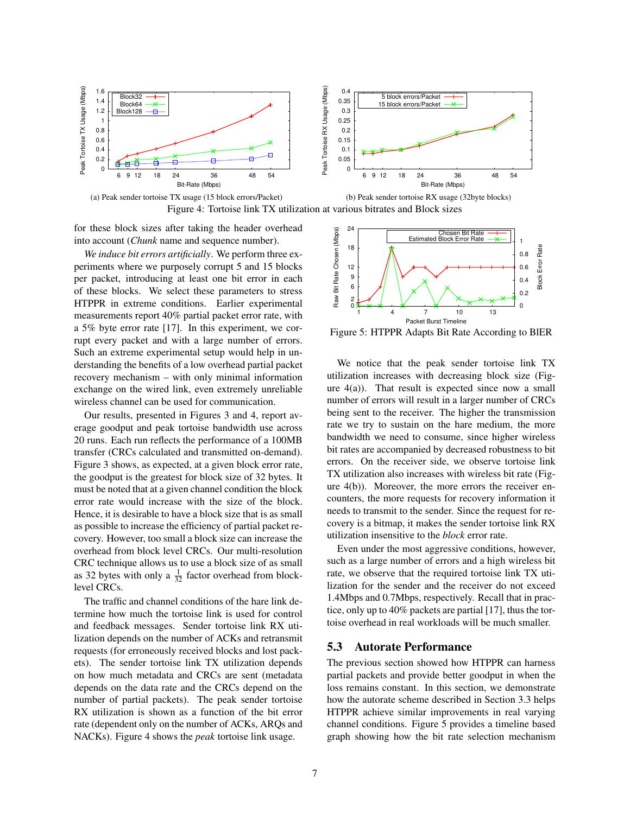<span id="page-6-0"></span>



for these block sizes after taking the header overhead into account (*Chunk* name and sequence number).

*We induce bit errors artificially*. We perform three experiments where we purposely corrupt 5 and 15 blocks per packet, introducing at least one bit error in each of these blocks. We select these parameters to stress HTPPR in extreme conditions. Earlier experimental measurements report 40% partial packet error rate, with a 5% byte error rate [\[17\]](#page-10-7). In this experiment, we corrupt every packet and with a large number of errors. Such an extreme experimental setup would help in understanding the benefits of a low overhead partial packet recovery mechanism – with only minimal information exchange on the wired link, even extremely unreliable wireless channel can be used for communication.

Our results, presented in Figures [3](#page-5-1) and [4,](#page-6-0) report average goodput and peak tortoise bandwidth use across 20 runs. Each run reflects the performance of a 100MB transfer (CRCs calculated and transmitted on-demand). Figure [3](#page-5-1) shows, as expected, at a given block error rate, the goodput is the greatest for block size of 32 bytes. It must be noted that at a given channel condition the block error rate would increase with the size of the block. Hence, it is desirable to have a block size that is as small as possible to increase the efficiency of partial packet recovery. However, too small a block size can increase the overhead from block level CRCs. Our multi-resolution CRC technique allows us to use a block size of as small as 32 bytes with only a  $\frac{1}{32}$  factor overhead from blocklevel CRCs.

The traffic and channel conditions of the hare link determine how much the tortoise link is used for control and feedback messages. Sender tortoise link RX utilization depends on the number of ACKs and retransmit requests (for erroneously received blocks and lost packets). The sender tortoise link TX utilization depends on how much metadata and CRCs are sent (metadata depends on the data rate and the CRCs depend on the number of partial packets). The peak sender tortoise RX utilization is shown as a function of the bit error rate (dependent only on the number of ACKs, ARQs and NACKs). Figure [4](#page-6-0) shows the *peak* tortoise link usage.

<span id="page-6-1"></span>

Figure 5: HTPPR Adapts Bit Rate According to BlER

We notice that the peak sender tortoise link TX utilization increases with decreasing block size (Figure  $4(a)$ ). That result is expected since now a small number of errors will result in a larger number of CRCs being sent to the receiver. The higher the transmission rate we try to sustain on the hare medium, the more bandwidth we need to consume, since higher wireless bit rates are accompanied by decreased robustness to bit errors. On the receiver side, we observe tortoise link TX utilization also increases with wireless bit rate (Figure [4\(](#page-6-0)b)). Moreover, the more errors the receiver encounters, the more requests for recovery information it needs to transmit to the sender. Since the request for recovery is a bitmap, it makes the sender tortoise link RX utilization insensitive to the *block* error rate.

Even under the most aggressive conditions, however, such as a large number of errors and a high wireless bit rate, we observe that the required tortoise link TX utilization for the sender and the receiver do not exceed 1.4Mbps and 0.7Mbps, respectively. Recall that in practice, only up to 40% packets are partial [\[17\]](#page-10-7), thus the tortoise overhead in real workloads will be much smaller.

#### 5.3 Autorate Performance

The previous section showed how HTPPR can harness partial packets and provide better goodput in when the loss remains constant. In this section, we demonstrate how the autorate scheme described in Section [3.3](#page-3-2) helps HTPPR achieve similar improvements in real varying channel conditions. Figure [5](#page-6-1) provides a timeline based graph showing how the bit rate selection mechanism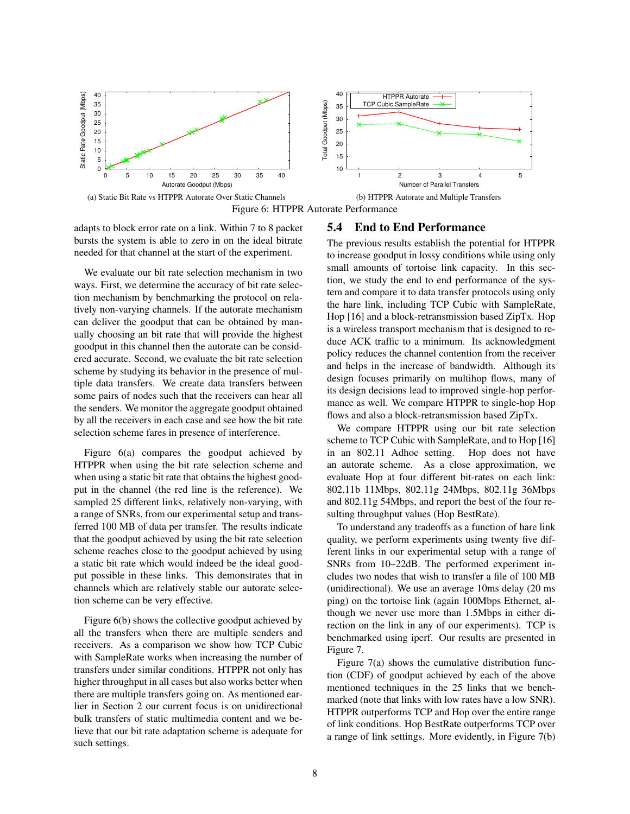<span id="page-7-1"></span>

Figure 6: HTPPR Autorate Performance

adapts to block error rate on a link. Within 7 to 8 packet bursts the system is able to zero in on the ideal bitrate needed for that channel at the start of the experiment.

We evaluate our bit rate selection mechanism in two ways. First, we determine the accuracy of bit rate selection mechanism by benchmarking the protocol on relatively non-varying channels. If the autorate mechanism can deliver the goodput that can be obtained by manually choosing an bit rate that will provide the highest goodput in this channel then the autorate can be considered accurate. Second, we evaluate the bit rate selection scheme by studying its behavior in the presence of multiple data transfers. We create data transfers between some pairs of nodes such that the receivers can hear all the senders. We monitor the aggregate goodput obtained by all the receivers in each case and see how the bit rate selection scheme fares in presence of interference.

Figure [6\(](#page-7-1)a) compares the goodput achieved by HTPPR when using the bit rate selection scheme and when using a static bit rate that obtains the highest goodput in the channel (the red line is the reference). We sampled 25 different links, relatively non-varying, with a range of SNRs, from our experimental setup and transferred 100 MB of data per transfer. The results indicate that the goodput achieved by using the bit rate selection scheme reaches close to the goodput achieved by using a static bit rate which would indeed be the ideal goodput possible in these links. This demonstrates that in channels which are relatively stable our autorate selection scheme can be very effective.

Figure [6\(](#page-7-1)b) shows the collective goodput achieved by all the transfers when there are multiple senders and receivers. As a comparison we show how TCP Cubic with SampleRate works when increasing the number of transfers under similar conditions. HTPPR not only has higher throughput in all cases but also works better when there are multiple transfers going on. As mentioned earlier in Section [2](#page-1-1) our current focus is on unidirectional bulk transfers of static multimedia content and we believe that our bit rate adaptation scheme is adequate for such settings.

#### <span id="page-7-0"></span>5.4 End to End Performance

The previous results establish the potential for HTPPR to increase goodput in lossy conditions while using only small amounts of tortoise link capacity. In this section, we study the end to end performance of the system and compare it to data transfer protocols using only the hare link, including TCP Cubic with SampleRate, Hop [\[16\]](#page-10-19) and a block-retransmission based ZipTx. Hop is a wireless transport mechanism that is designed to reduce ACK traffic to a minimum. Its acknowledgment policy reduces the channel contention from the receiver and helps in the increase of bandwidth. Although its design focuses primarily on multihop flows, many of its design decisions lead to improved single-hop performance as well. We compare HTPPR to single-hop Hop flows and also a block-retransmission based ZipTx.

We compare HTPPR using our bit rate selection scheme to TCP Cubic with SampleRate, and to Hop [\[16\]](#page-10-19) in an 802.11 Adhoc setting. Hop does not have an autorate scheme. As a close approximation, we evaluate Hop at four different bit-rates on each link: 802.11b 11Mbps, 802.11g 24Mbps, 802.11g 36Mbps and 802.11g 54Mbps, and report the best of the four resulting throughput values (Hop BestRate).

To understand any tradeoffs as a function of hare link quality, we perform experiments using twenty five different links in our experimental setup with a range of SNRs from 10–22dB. The performed experiment includes two nodes that wish to transfer a file of 100 MB (unidirectional). We use an average 10ms delay (20 ms ping) on the tortoise link (again 100Mbps Ethernet, although we never use more than 1.5Mbps in either direction on the link in any of our experiments). TCP is benchmarked using iperf. Our results are presented in Figure [7.](#page-8-0)

Figure [7\(](#page-8-0)a) shows the cumulative distribution function (CDF) of goodput achieved by each of the above mentioned techniques in the 25 links that we benchmarked (note that links with low rates have a low SNR). HTPPR outperforms TCP and Hop over the entire range of link conditions. Hop BestRate outperforms TCP over a range of link settings. More evidently, in Figure [7\(](#page-8-0)b)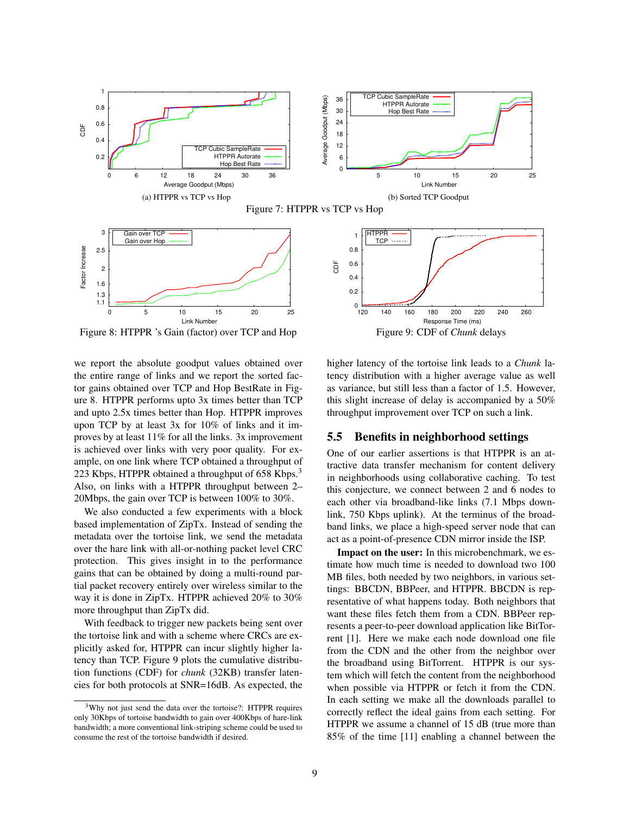<span id="page-8-0"></span>



<span id="page-8-1"></span>

Figure 8: HTPPR 's Gain (factor) over TCP and Hop

we report the absolute goodput values obtained over the entire range of links and we report the sorted factor gains obtained over TCP and Hop BestRate in Figure [8.](#page-8-1) HTPPR performs upto 3x times better than TCP and upto 2.5x times better than Hop. HTPPR improves upon TCP by at least 3x for 10% of links and it improves by at least 11% for all the links. 3x improvement is achieved over links with very poor quality. For example, on one link where TCP obtained a throughput of 22[3](#page-8-2) Kbps, HTPPR obtained a throughput of 658 Kbps.<sup>3</sup> Also, on links with a HTPPR throughput between 2– 20Mbps, the gain over TCP is between 100% to 30%.

We also conducted a few experiments with a block based implementation of ZipTx. Instead of sending the metadata over the tortoise link, we send the metadata over the hare link with all-or-nothing packet level CRC protection. This gives insight in to the performance gains that can be obtained by doing a multi-round partial packet recovery entirely over wireless similar to the way it is done in ZipTx. HTPPR achieved 20% to 30% more throughput than ZipTx did.

With feedback to trigger new packets being sent over the tortoise link and with a scheme where CRCs are explicitly asked for, HTPPR can incur slightly higher latency than TCP. Figure [9](#page-8-3) plots the cumulative distribution functions (CDF) for *chunk* (32KB) transfer latencies for both protocols at SNR=16dB. As expected, the

<span id="page-8-3"></span>

higher latency of the tortoise link leads to a *Chunk* latency distribution with a higher average value as well as variance, but still less than a factor of 1.5. However, this slight increase of delay is accompanied by a 50% throughput improvement over TCP on such a link.

#### 5.5 Benefits in neighborhood settings

One of our earlier assertions is that HTPPR is an attractive data transfer mechanism for content delivery in neighborhoods using collaborative caching. To test this conjecture, we connect between 2 and 6 nodes to each other via broadband-like links (7.1 Mbps downlink, 750 Kbps uplink). At the terminus of the broadband links, we place a high-speed server node that can act as a point-of-presence CDN mirror inside the ISP.

Impact on the user: In this microbenchmark, we estimate how much time is needed to download two 100 MB files, both needed by two neighbors, in various settings: BBCDN, BBPeer, and HTPPR. BBCDN is representative of what happens today. Both neighbors that want these files fetch them from a CDN. BBPeer represents a peer-to-peer download application like BitTorrent [\[1\]](#page-10-20). Here we make each node download one file from the CDN and the other from the neighbor over the broadband using BitTorrent. HTPPR is our system which will fetch the content from the neighborhood when possible via HTPPR or fetch it from the CDN. In each setting we make all the downloads parallel to correctly reflect the ideal gains from each setting. For HTPPR we assume a channel of 15 dB (true more than 85% of the time [\[11\]](#page-10-17) enabling a channel between the

<span id="page-8-2"></span><sup>3</sup>Why not just send the data over the tortoise?: HTPPR requires only 30Kbps of tortoise bandwidth to gain over 400Kbps of hare-link bandwidth; a more conventional link-striping scheme could be used to consume the rest of the tortoise bandwidth if desired.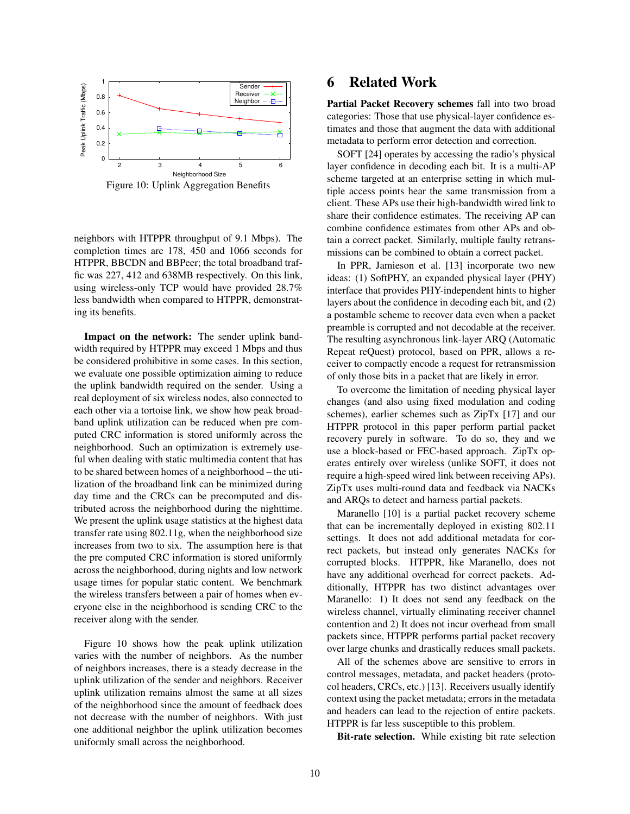<span id="page-9-0"></span>

Figure 10: Uplink Aggregation Benefits

neighbors with HTPPR throughput of 9.1 Mbps). The completion times are 178, 450 and 1066 seconds for HTPPR, BBCDN and BBPeer; the total broadband traffic was 227, 412 and 638MB respectively. On this link, using wireless-only TCP would have provided 28.7% less bandwidth when compared to HTPPR, demonstrating its benefits.

Impact on the network: The sender uplink bandwidth required by HTPPR may exceed 1 Mbps and thus be considered prohibitive in some cases. In this section, we evaluate one possible optimization aiming to reduce the uplink bandwidth required on the sender. Using a real deployment of six wireless nodes, also connected to each other via a tortoise link, we show how peak broadband uplink utilization can be reduced when pre computed CRC information is stored uniformly across the neighborhood. Such an optimization is extremely useful when dealing with static multimedia content that has to be shared between homes of a neighborhood – the utilization of the broadband link can be minimized during day time and the CRCs can be precomputed and distributed across the neighborhood during the nighttime. We present the uplink usage statistics at the highest data transfer rate using 802.11g, when the neighborhood size increases from two to six. The assumption here is that the pre computed CRC information is stored uniformly across the neighborhood, during nights and low network usage times for popular static content. We benchmark the wireless transfers between a pair of homes when everyone else in the neighborhood is sending CRC to the receiver along with the sender.

Figure [10](#page-9-0) shows how the peak uplink utilization varies with the number of neighbors. As the number of neighbors increases, there is a steady decrease in the uplink utilization of the sender and neighbors. Receiver uplink utilization remains almost the same at all sizes of the neighborhood since the amount of feedback does not decrease with the number of neighbors. With just one additional neighbor the uplink utilization becomes uniformly small across the neighborhood.

## 6 Related Work

Partial Packet Recovery schemes fall into two broad categories: Those that use physical-layer confidence estimates and those that augment the data with additional metadata to perform error detection and correction.

SOFT [\[24\]](#page-10-5) operates by accessing the radio's physical layer confidence in decoding each bit. It is a multi-AP scheme targeted at an enterprise setting in which multiple access points hear the same transmission from a client. These APs use their high-bandwidth wired link to share their confidence estimates. The receiving AP can combine confidence estimates from other APs and obtain a correct packet. Similarly, multiple faulty retransmissions can be combined to obtain a correct packet.

In PPR, Jamieson et al. [\[13\]](#page-10-6) incorporate two new ideas: (1) SoftPHY, an expanded physical layer (PHY) interface that provides PHY-independent hints to higher layers about the confidence in decoding each bit, and (2) a postamble scheme to recover data even when a packet preamble is corrupted and not decodable at the receiver. The resulting asynchronous link-layer ARQ (Automatic Repeat reQuest) protocol, based on PPR, allows a receiver to compactly encode a request for retransmission of only those bits in a packet that are likely in error.

To overcome the limitation of needing physical layer changes (and also using fixed modulation and coding schemes), earlier schemes such as ZipTx [\[17\]](#page-10-7) and our HTPPR protocol in this paper perform partial packet recovery purely in software. To do so, they and we use a block-based or FEC-based approach. ZipTx operates entirely over wireless (unlike SOFT, it does not require a high-speed wired link between receiving APs). ZipTx uses multi-round data and feedback via NACKs and ARQs to detect and harness partial packets.

Maranello [\[10\]](#page-10-21) is a partial packet recovery scheme that can be incrementally deployed in existing 802.11 settings. It does not add additional metadata for correct packets, but instead only generates NACKs for corrupted blocks. HTPPR, like Maranello, does not have any additional overhead for correct packets. Additionally, HTPPR has two distinct advantages over Maranello: 1) It does not send any feedback on the wireless channel, virtually eliminating receiver channel contention and 2) It does not incur overhead from small packets since, HTPPR performs partial packet recovery over large chunks and drastically reduces small packets.

All of the schemes above are sensitive to errors in control messages, metadata, and packet headers (protocol headers, CRCs, etc.) [\[13\]](#page-10-6). Receivers usually identify context using the packet metadata; errors in the metadata and headers can lead to the rejection of entire packets. HTPPR is far less susceptible to this problem.

Bit-rate selection. While existing bit rate selection